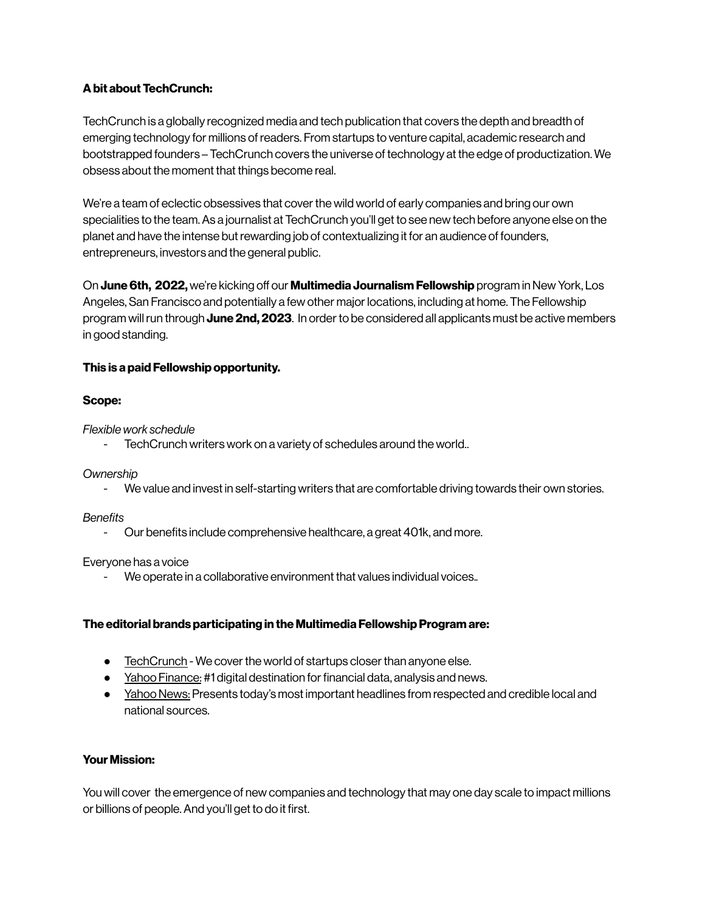# **Abit aboutTechCrunch:**

TechCrunch is a globally recognized media and tech publication that covers the depth and breadth of emerging technology for millions ofreaders. From startups to venture capital, academic research and bootstrapped founders – TechCrunch covers the universe of technology at the edge of productization. We obsess about the moment that things become real.

We're a team of eclectic obsessives that cover the wild world of early companies and bring our own specialities to the team.As a journalist at TechCrunch you'll get to see new tech before anyone else on the planet and have the intense but rewarding job of contextualizing it for an audience of founders, entrepreneurs, investors and the general public.

On **June 6th, 2022,** we're kicking off our **Multimedia Journalism Fellowship** program in New York, Los Angeles, San Francisco and potentially a few other major locations, including at home. The Fellowship program willrun through **June 2nd, 2023**. In orderto be considered all applicants must be active members in good standing.

# **This is a paid Fellowship opportunity.**

### **Scope:**

### *Flexible work schedule*

TechCrunch writers work on a variety of schedules around the world..

*Ownership*

- We value and invest in self-starting writers that are comfortable driving towards their own stories.

### *Benefits*

- Our benefits include comprehensive healthcare, a great 401k, and more.

### Everyone has a voice

*-* We operate in a collaborative environment that values individual voices.*.*

# **The editorial brands participating in the Multimedia FellowshipProgram are:**

- FechCrunch We cover the world of startups closer than anyone else.
- Yahoo [Finance:](https://finance.yahoo.com/) #1 digital destination for financial data, analysis and news.
- Yahoo News: Presents today's most important headlines from respected and credible local and national sources.

# **Your Mission:**

You will cover the emergence of new companies and technology that may one day scale to impact millions or billions of people.And you'll get to do it first.